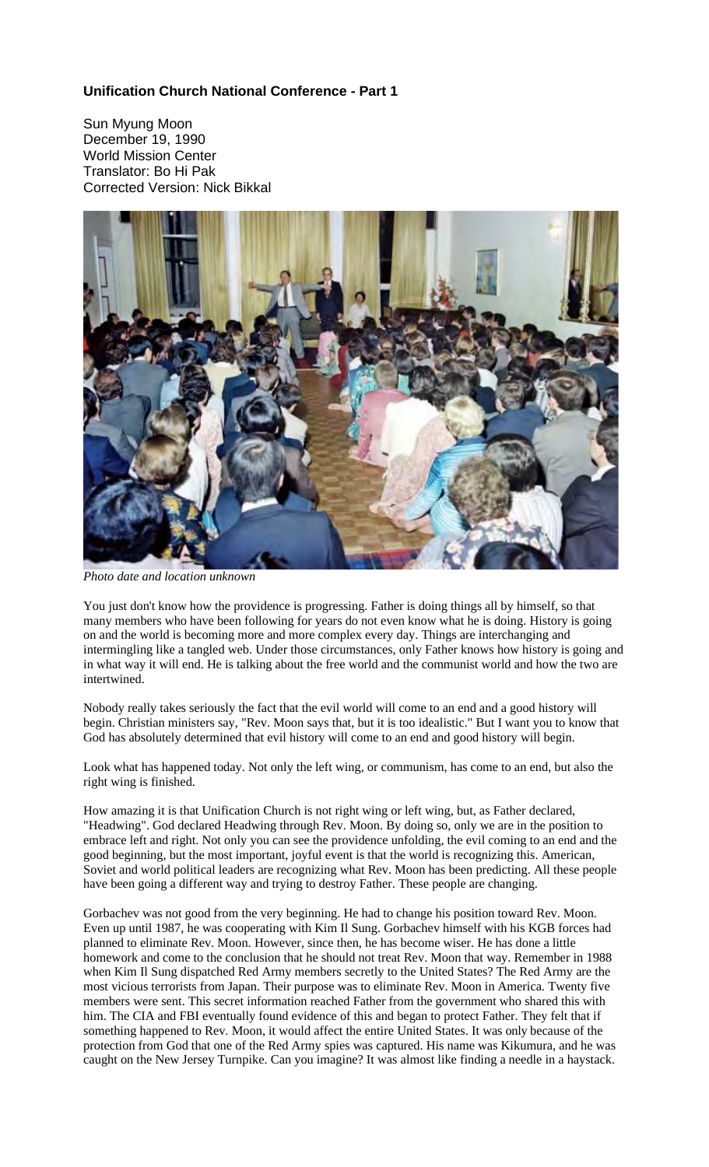## **Unification Church National Conference - Part 1**

Sun Myung Moon December 19, 1990 World Mission Center Translator: Bo Hi Pak Corrected Version: Nick Bikkal



*Photo date and location unknown*

You just don't know how the providence is progressing. Father is doing things all by himself, so that many members who have been following for years do not even know what he is doing. History is going on and the world is becoming more and more complex every day. Things are interchanging and intermingling like a tangled web. Under those circumstances, only Father knows how history is going and in what way it will end. He is talking about the free world and the communist world and how the two are intertwined.

Nobody really takes seriously the fact that the evil world will come to an end and a good history will begin. Christian ministers say, "Rev. Moon says that, but it is too idealistic." But I want you to know that God has absolutely determined that evil history will come to an end and good history will begin.

Look what has happened today. Not only the left wing, or communism, has come to an end, but also the right wing is finished.

How amazing it is that Unification Church is not right wing or left wing, but, as Father declared, "Headwing". God declared Headwing through Rev. Moon. By doing so, only we are in the position to embrace left and right. Not only you can see the providence unfolding, the evil coming to an end and the good beginning, but the most important, joyful event is that the world is recognizing this. American, Soviet and world political leaders are recognizing what Rev. Moon has been predicting. All these people have been going a different way and trying to destroy Father. These people are changing.

Gorbachev was not good from the very beginning. He had to change his position toward Rev. Moon. Even up until 1987, he was cooperating with Kim Il Sung. Gorbachev himself with his KGB forces had planned to eliminate Rev. Moon. However, since then, he has become wiser. He has done a little homework and come to the conclusion that he should not treat Rev. Moon that way. Remember in 1988 when Kim Il Sung dispatched Red Army members secretly to the United States? The Red Army are the most vicious terrorists from Japan. Their purpose was to eliminate Rev. Moon in America. Twenty five members were sent. This secret information reached Father from the government who shared this with him. The CIA and FBI eventually found evidence of this and began to protect Father. They felt that if something happened to Rev. Moon, it would affect the entire United States. It was only because of the protection from God that one of the Red Army spies was captured. His name was Kikumura, and he was caught on the New Jersey Turnpike. Can you imagine? It was almost like finding a needle in a haystack.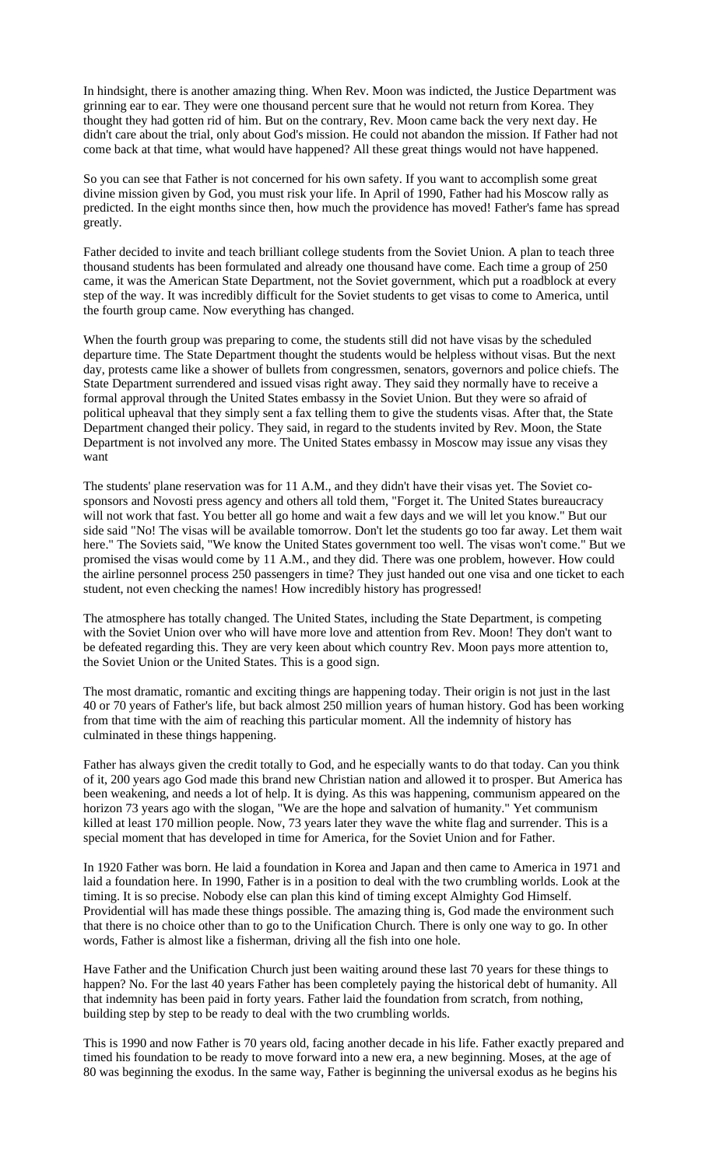In hindsight, there is another amazing thing. When Rev. Moon was indicted, the Justice Department was grinning ear to ear. They were one thousand percent sure that he would not return from Korea. They thought they had gotten rid of him. But on the contrary, Rev. Moon came back the very next day. He didn't care about the trial, only about God's mission. He could not abandon the mission. If Father had not come back at that time, what would have happened? All these great things would not have happened.

So you can see that Father is not concerned for his own safety. If you want to accomplish some great divine mission given by God, you must risk your life. In April of 1990, Father had his Moscow rally as predicted. In the eight months since then, how much the providence has moved! Father's fame has spread greatly.

Father decided to invite and teach brilliant college students from the Soviet Union. A plan to teach three thousand students has been formulated and already one thousand have come. Each time a group of 250 came, it was the American State Department, not the Soviet government, which put a roadblock at every step of the way. It was incredibly difficult for the Soviet students to get visas to come to America, until the fourth group came. Now everything has changed.

When the fourth group was preparing to come, the students still did not have visas by the scheduled departure time. The State Department thought the students would be helpless without visas. But the next day, protests came like a shower of bullets from congressmen, senators, governors and police chiefs. The State Department surrendered and issued visas right away. They said they normally have to receive a formal approval through the United States embassy in the Soviet Union. But they were so afraid of political upheaval that they simply sent a fax telling them to give the students visas. After that, the State Department changed their policy. They said, in regard to the students invited by Rev. Moon, the State Department is not involved any more. The United States embassy in Moscow may issue any visas they want

The students' plane reservation was for 11 A.M., and they didn't have their visas yet. The Soviet cosponsors and Novosti press agency and others all told them, "Forget it. The United States bureaucracy will not work that fast. You better all go home and wait a few days and we will let you know." But our side said "No! The visas will be available tomorrow. Don't let the students go too far away. Let them wait here." The Soviets said, "We know the United States government too well. The visas won't come." But we promised the visas would come by 11 A.M., and they did. There was one problem, however. How could the airline personnel process 250 passengers in time? They just handed out one visa and one ticket to each student, not even checking the names! How incredibly history has progressed!

The atmosphere has totally changed. The United States, including the State Department, is competing with the Soviet Union over who will have more love and attention from Rev. Moon! They don't want to be defeated regarding this. They are very keen about which country Rev. Moon pays more attention to, the Soviet Union or the United States. This is a good sign.

The most dramatic, romantic and exciting things are happening today. Their origin is not just in the last 40 or 70 years of Father's life, but back almost 250 million years of human history. God has been working from that time with the aim of reaching this particular moment. All the indemnity of history has culminated in these things happening.

Father has always given the credit totally to God, and he especially wants to do that today. Can you think of it, 200 years ago God made this brand new Christian nation and allowed it to prosper. But America has been weakening, and needs a lot of help. It is dying. As this was happening, communism appeared on the horizon 73 years ago with the slogan, "We are the hope and salvation of humanity." Yet communism killed at least 170 million people. Now, 73 years later they wave the white flag and surrender. This is a special moment that has developed in time for America, for the Soviet Union and for Father.

In 1920 Father was born. He laid a foundation in Korea and Japan and then came to America in 1971 and laid a foundation here. In 1990, Father is in a position to deal with the two crumbling worlds. Look at the timing. It is so precise. Nobody else can plan this kind of timing except Almighty God Himself. Providential will has made these things possible. The amazing thing is, God made the environment such that there is no choice other than to go to the Unification Church. There is only one way to go. In other words, Father is almost like a fisherman, driving all the fish into one hole.

Have Father and the Unification Church just been waiting around these last 70 years for these things to happen? No. For the last 40 years Father has been completely paying the historical debt of humanity. All that indemnity has been paid in forty years. Father laid the foundation from scratch, from nothing, building step by step to be ready to deal with the two crumbling worlds.

This is 1990 and now Father is 70 years old, facing another decade in his life. Father exactly prepared and timed his foundation to be ready to move forward into a new era, a new beginning. Moses, at the age of 80 was beginning the exodus. In the same way, Father is beginning the universal exodus as he begins his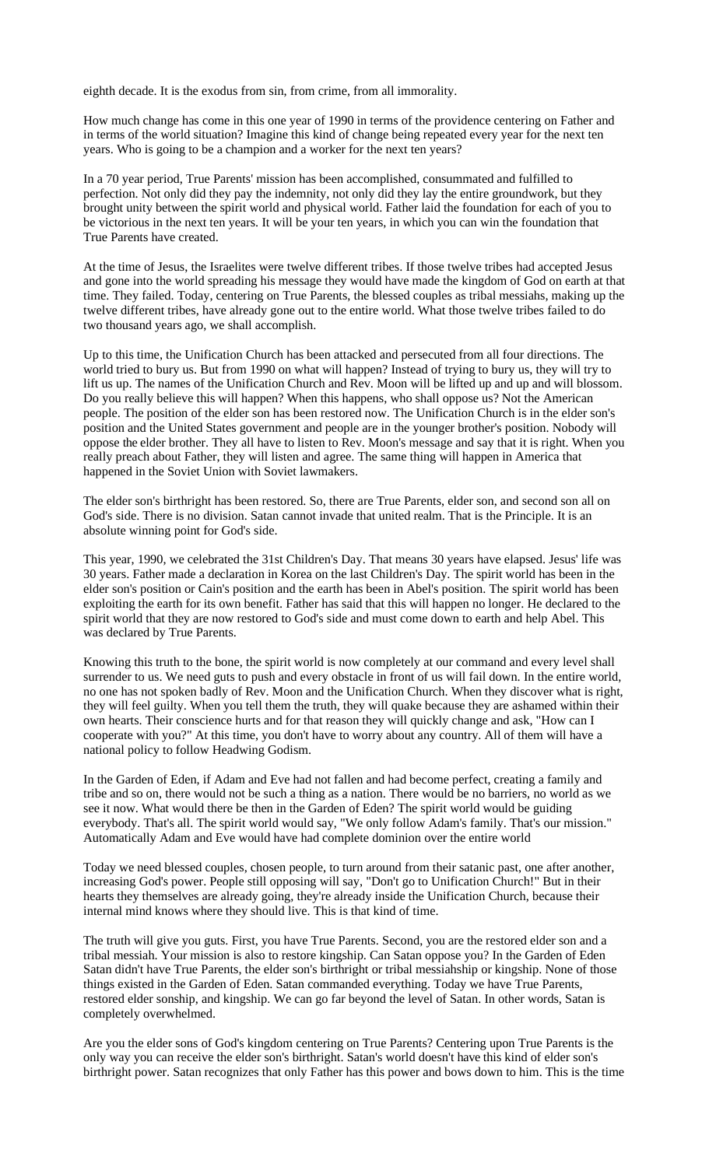eighth decade. It is the exodus from sin, from crime, from all immorality.

How much change has come in this one year of 1990 in terms of the providence centering on Father and in terms of the world situation? Imagine this kind of change being repeated every year for the next ten years. Who is going to be a champion and a worker for the next ten years?

In a 70 year period, True Parents' mission has been accomplished, consummated and fulfilled to perfection. Not only did they pay the indemnity, not only did they lay the entire groundwork, but they brought unity between the spirit world and physical world. Father laid the foundation for each of you to be victorious in the next ten years. It will be your ten years, in which you can win the foundation that True Parents have created.

At the time of Jesus, the Israelites were twelve different tribes. If those twelve tribes had accepted Jesus and gone into the world spreading his message they would have made the kingdom of God on earth at that time. They failed. Today, centering on True Parents, the blessed couples as tribal messiahs, making up the twelve different tribes, have already gone out to the entire world. What those twelve tribes failed to do two thousand years ago, we shall accomplish.

Up to this time, the Unification Church has been attacked and persecuted from all four directions. The world tried to bury us. But from 1990 on what will happen? Instead of trying to bury us, they will try to lift us up. The names of the Unification Church and Rev. Moon will be lifted up and up and will blossom. Do you really believe this will happen? When this happens, who shall oppose us? Not the American people. The position of the elder son has been restored now. The Unification Church is in the elder son's position and the United States government and people are in the younger brother's position. Nobody will oppose the elder brother. They all have to listen to Rev. Moon's message and say that it is right. When you really preach about Father, they will listen and agree. The same thing will happen in America that happened in the Soviet Union with Soviet lawmakers.

The elder son's birthright has been restored. So, there are True Parents, elder son, and second son all on God's side. There is no division. Satan cannot invade that united realm. That is the Principle. It is an absolute winning point for God's side.

This year, 1990, we celebrated the 31st Children's Day. That means 30 years have elapsed. Jesus' life was 30 years. Father made a declaration in Korea on the last Children's Day. The spirit world has been in the elder son's position or Cain's position and the earth has been in Abel's position. The spirit world has been exploiting the earth for its own benefit. Father has said that this will happen no longer. He declared to the spirit world that they are now restored to God's side and must come down to earth and help Abel. This was declared by True Parents.

Knowing this truth to the bone, the spirit world is now completely at our command and every level shall surrender to us. We need guts to push and every obstacle in front of us will fail down. In the entire world, no one has not spoken badly of Rev. Moon and the Unification Church. When they discover what is right, they will feel guilty. When you tell them the truth, they will quake because they are ashamed within their own hearts. Their conscience hurts and for that reason they will quickly change and ask, "How can I cooperate with you?" At this time, you don't have to worry about any country. All of them will have a national policy to follow Headwing Godism.

In the Garden of Eden, if Adam and Eve had not fallen and had become perfect, creating a family and tribe and so on, there would not be such a thing as a nation. There would be no barriers, no world as we see it now. What would there be then in the Garden of Eden? The spirit world would be guiding everybody. That's all. The spirit world would say, "We only follow Adam's family. That's our mission." Automatically Adam and Eve would have had complete dominion over the entire world

Today we need blessed couples, chosen people, to turn around from their satanic past, one after another, increasing God's power. People still opposing will say, "Don't go to Unification Church!" But in their hearts they themselves are already going, they're already inside the Unification Church, because their internal mind knows where they should live. This is that kind of time.

The truth will give you guts. First, you have True Parents. Second, you are the restored elder son and a tribal messiah. Your mission is also to restore kingship. Can Satan oppose you? In the Garden of Eden Satan didn't have True Parents, the elder son's birthright or tribal messiahship or kingship. None of those things existed in the Garden of Eden. Satan commanded everything. Today we have True Parents, restored elder sonship, and kingship. We can go far beyond the level of Satan. In other words, Satan is completely overwhelmed.

Are you the elder sons of God's kingdom centering on True Parents? Centering upon True Parents is the only way you can receive the elder son's birthright. Satan's world doesn't have this kind of elder son's birthright power. Satan recognizes that only Father has this power and bows down to him. This is the time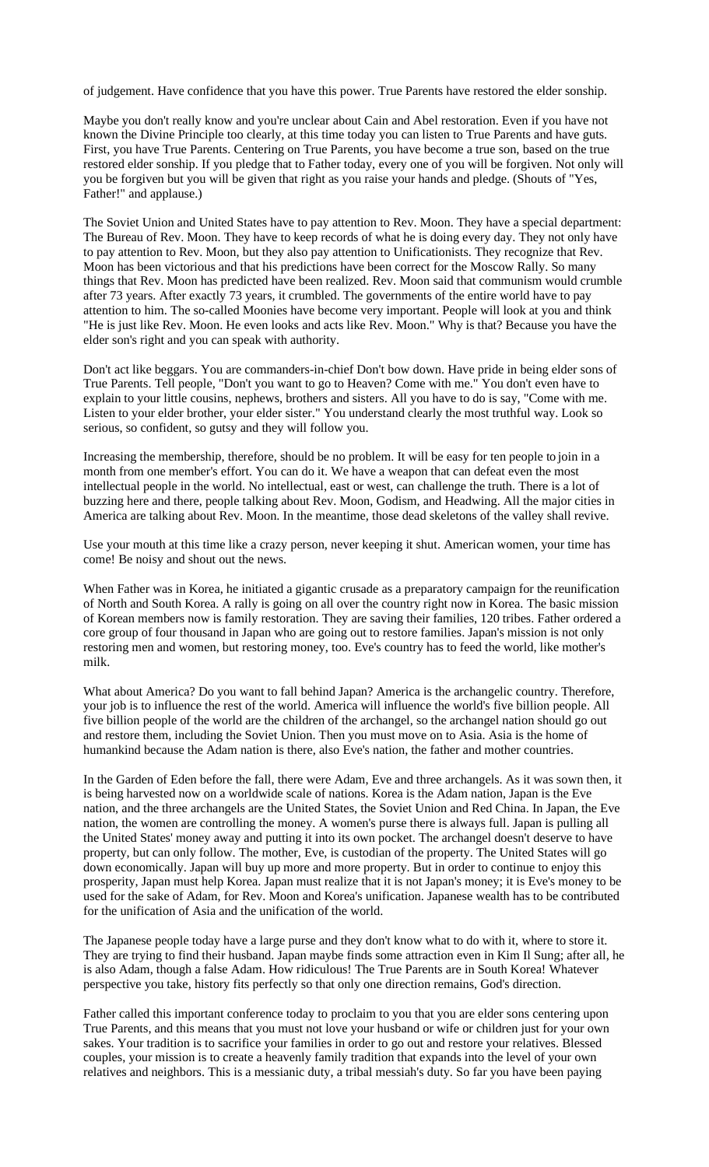of judgement. Have confidence that you have this power. True Parents have restored the elder sonship.

Maybe you don't really know and you're unclear about Cain and Abel restoration. Even if you have not known the Divine Principle too clearly, at this time today you can listen to True Parents and have guts. First, you have True Parents. Centering on True Parents, you have become a true son, based on the true restored elder sonship. If you pledge that to Father today, every one of you will be forgiven. Not only will you be forgiven but you will be given that right as you raise your hands and pledge. (Shouts of "Yes, Father!" and applause.)

The Soviet Union and United States have to pay attention to Rev. Moon. They have a special department: The Bureau of Rev. Moon. They have to keep records of what he is doing every day. They not only have to pay attention to Rev. Moon, but they also pay attention to Unificationists. They recognize that Rev. Moon has been victorious and that his predictions have been correct for the Moscow Rally. So many things that Rev. Moon has predicted have been realized. Rev. Moon said that communism would crumble after 73 years. After exactly 73 years, it crumbled. The governments of the entire world have to pay attention to him. The so-called Moonies have become very important. People will look at you and think "He is just like Rev. Moon. He even looks and acts like Rev. Moon." Why is that? Because you have the elder son's right and you can speak with authority.

Don't act like beggars. You are commanders-in-chief Don't bow down. Have pride in being elder sons of True Parents. Tell people, "Don't you want to go to Heaven? Come with me." You don't even have to explain to your little cousins, nephews, brothers and sisters. All you have to do is say, "Come with me. Listen to your elder brother, your elder sister." You understand clearly the most truthful way. Look so serious, so confident, so gutsy and they will follow you.

Increasing the membership, therefore, should be no problem. It will be easy for ten people to join in a month from one member's effort. You can do it. We have a weapon that can defeat even the most intellectual people in the world. No intellectual, east or west, can challenge the truth. There is a lot of buzzing here and there, people talking about Rev. Moon, Godism, and Headwing. All the major cities in America are talking about Rev. Moon. In the meantime, those dead skeletons of the valley shall revive.

Use your mouth at this time like a crazy person, never keeping it shut. American women, your time has come! Be noisy and shout out the news.

When Father was in Korea, he initiated a gigantic crusade as a preparatory campaign for the reunification of North and South Korea. A rally is going on all over the country right now in Korea. The basic mission of Korean members now is family restoration. They are saving their families, 120 tribes. Father ordered a core group of four thousand in Japan who are going out to restore families. Japan's mission is not only restoring men and women, but restoring money, too. Eve's country has to feed the world, like mother's milk.

What about America? Do you want to fall behind Japan? America is the archangelic country. Therefore, your job is to influence the rest of the world. America will influence the world's five billion people. All five billion people of the world are the children of the archangel, so the archangel nation should go out and restore them, including the Soviet Union. Then you must move on to Asia. Asia is the home of humankind because the Adam nation is there, also Eve's nation, the father and mother countries.

In the Garden of Eden before the fall, there were Adam, Eve and three archangels. As it was sown then, it is being harvested now on a worldwide scale of nations. Korea is the Adam nation, Japan is the Eve nation, and the three archangels are the United States, the Soviet Union and Red China. In Japan, the Eve nation, the women are controlling the money. A women's purse there is always full. Japan is pulling all the United States' money away and putting it into its own pocket. The archangel doesn't deserve to have property, but can only follow. The mother, Eve, is custodian of the property. The United States will go down economically. Japan will buy up more and more property. But in order to continue to enjoy this prosperity, Japan must help Korea. Japan must realize that it is not Japan's money; it is Eve's money to be used for the sake of Adam, for Rev. Moon and Korea's unification. Japanese wealth has to be contributed for the unification of Asia and the unification of the world.

The Japanese people today have a large purse and they don't know what to do with it, where to store it. They are trying to find their husband. Japan maybe finds some attraction even in Kim Il Sung; after all, he is also Adam, though a false Adam. How ridiculous! The True Parents are in South Korea! Whatever perspective you take, history fits perfectly so that only one direction remains, God's direction.

Father called this important conference today to proclaim to you that you are elder sons centering upon True Parents, and this means that you must not love your husband or wife or children just for your own sakes. Your tradition is to sacrifice your families in order to go out and restore your relatives. Blessed couples, your mission is to create a heavenly family tradition that expands into the level of your own relatives and neighbors. This is a messianic duty, a tribal messiah's duty. So far you have been paying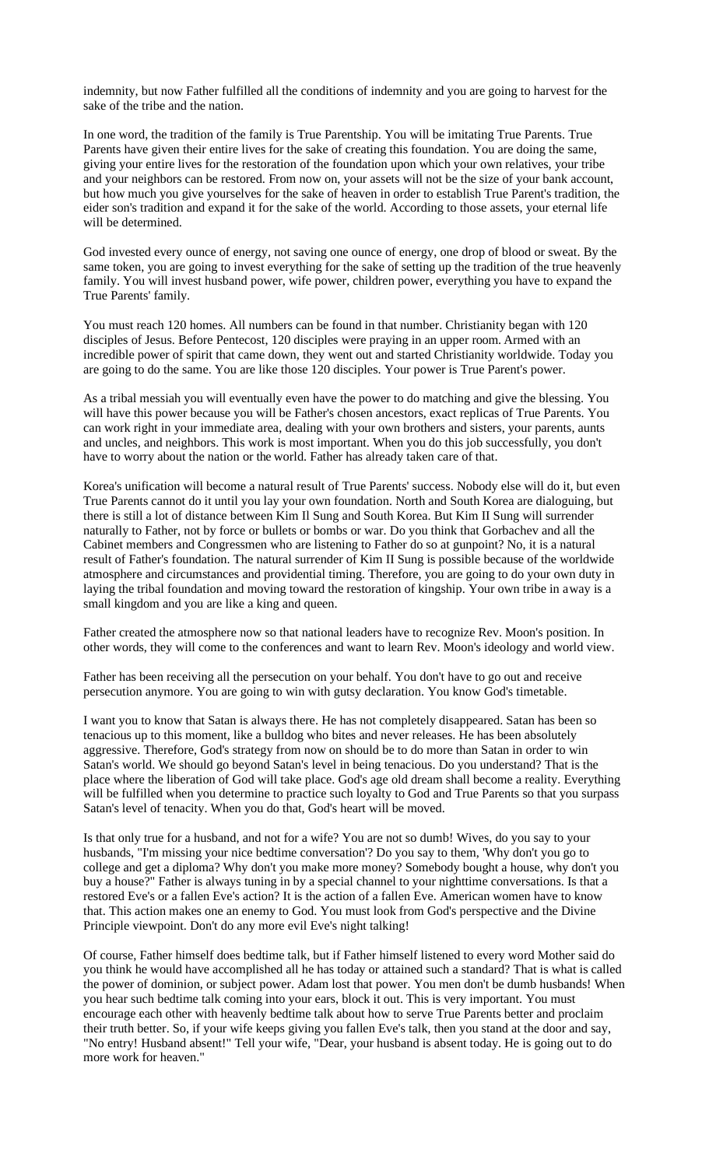indemnity, but now Father fulfilled all the conditions of indemnity and you are going to harvest for the sake of the tribe and the nation.

In one word, the tradition of the family is True Parentship. You will be imitating True Parents. True Parents have given their entire lives for the sake of creating this foundation. You are doing the same, giving your entire lives for the restoration of the foundation upon which your own relatives, your tribe and your neighbors can be restored. From now on, your assets will not be the size of your bank account, but how much you give yourselves for the sake of heaven in order to establish True Parent's tradition, the eider son's tradition and expand it for the sake of the world. According to those assets, your eternal life will be determined.

God invested every ounce of energy, not saving one ounce of energy, one drop of blood or sweat. By the same token, you are going to invest everything for the sake of setting up the tradition of the true heavenly family. You will invest husband power, wife power, children power, everything you have to expand the True Parents' family.

You must reach 120 homes. All numbers can be found in that number. Christianity began with 120 disciples of Jesus. Before Pentecost, 120 disciples were praying in an upper room. Armed with an incredible power of spirit that came down, they went out and started Christianity worldwide. Today you are going to do the same. You are like those 120 disciples. Your power is True Parent's power.

As a tribal messiah you will eventually even have the power to do matching and give the blessing. You will have this power because you will be Father's chosen ancestors, exact replicas of True Parents. You can work right in your immediate area, dealing with your own brothers and sisters, your parents, aunts and uncles, and neighbors. This work is most important. When you do this job successfully, you don't have to worry about the nation or the world. Father has already taken care of that.

Korea's unification will become a natural result of True Parents' success. Nobody else will do it, but even True Parents cannot do it until you lay your own foundation. North and South Korea are dialoguing, but there is still a lot of distance between Kim Il Sung and South Korea. But Kim II Sung will surrender naturally to Father, not by force or bullets or bombs or war. Do you think that Gorbachev and all the Cabinet members and Congressmen who are listening to Father do so at gunpoint? No, it is a natural result of Father's foundation. The natural surrender of Kim II Sung is possible because of the worldwide atmosphere and circumstances and providential timing. Therefore, you are going to do your own duty in laying the tribal foundation and moving toward the restoration of kingship. Your own tribe in away is a small kingdom and you are like a king and queen.

Father created the atmosphere now so that national leaders have to recognize Rev. Moon's position. In other words, they will come to the conferences and want to learn Rev. Moon's ideology and world view.

Father has been receiving all the persecution on your behalf. You don't have to go out and receive persecution anymore. You are going to win with gutsy declaration. You know God's timetable.

I want you to know that Satan is always there. He has not completely disappeared. Satan has been so tenacious up to this moment, like a bulldog who bites and never releases. He has been absolutely aggressive. Therefore, God's strategy from now on should be to do more than Satan in order to win Satan's world. We should go beyond Satan's level in being tenacious. Do you understand? That is the place where the liberation of God will take place. God's age old dream shall become a reality. Everything will be fulfilled when you determine to practice such loyalty to God and True Parents so that you surpass Satan's level of tenacity. When you do that, God's heart will be moved.

Is that only true for a husband, and not for a wife? You are not so dumb! Wives, do you say to your husbands, "I'm missing your nice bedtime conversation'? Do you say to them, 'Why don't you go to college and get a diploma? Why don't you make more money? Somebody bought a house, why don't you buy a house?" Father is always tuning in by a special channel to your nighttime conversations. Is that a restored Eve's or a fallen Eve's action? It is the action of a fallen Eve. American women have to know that. This action makes one an enemy to God. You must look from God's perspective and the Divine Principle viewpoint. Don't do any more evil Eve's night talking!

Of course, Father himself does bedtime talk, but if Father himself listened to every word Mother said do you think he would have accomplished all he has today or attained such a standard? That is what is called the power of dominion, or subject power. Adam lost that power. You men don't be dumb husbands! When you hear such bedtime talk coming into your ears, block it out. This is very important. You must encourage each other with heavenly bedtime talk about how to serve True Parents better and proclaim their truth better. So, if your wife keeps giving you fallen Eve's talk, then you stand at the door and say, "No entry! Husband absent!" Tell your wife, "Dear, your husband is absent today. He is going out to do more work for heaven."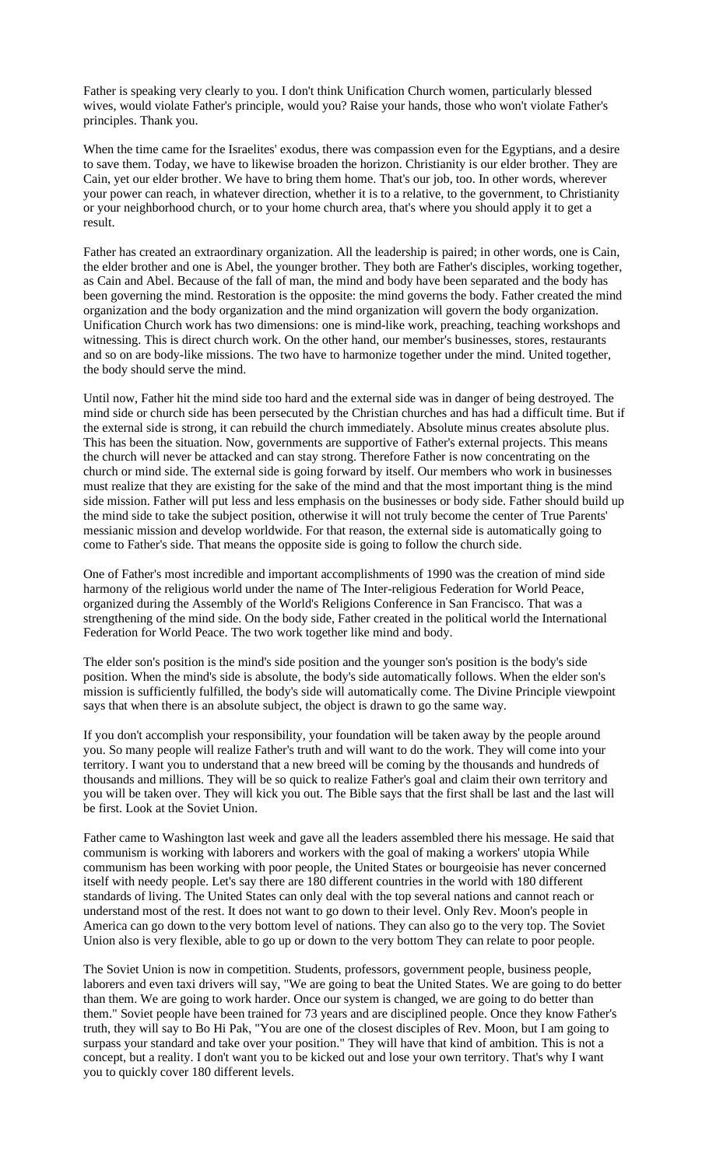Father is speaking very clearly to you. I don't think Unification Church women, particularly blessed wives, would violate Father's principle, would you? Raise your hands, those who won't violate Father's principles. Thank you.

When the time came for the Israelites' exodus, there was compassion even for the Egyptians, and a desire to save them. Today, we have to likewise broaden the horizon. Christianity is our elder brother. They are Cain, yet our elder brother. We have to bring them home. That's our job, too. In other words, wherever your power can reach, in whatever direction, whether it is to a relative, to the government, to Christianity or your neighborhood church, or to your home church area, that's where you should apply it to get a result.

Father has created an extraordinary organization. All the leadership is paired; in other words, one is Cain, the elder brother and one is Abel, the younger brother. They both are Father's disciples, working together, as Cain and Abel. Because of the fall of man, the mind and body have been separated and the body has been governing the mind. Restoration is the opposite: the mind governs the body. Father created the mind organization and the body organization and the mind organization will govern the body organization. Unification Church work has two dimensions: one is mind-like work, preaching, teaching workshops and witnessing. This is direct church work. On the other hand, our member's businesses, stores, restaurants and so on are body-like missions. The two have to harmonize together under the mind. United together, the body should serve the mind.

Until now, Father hit the mind side too hard and the external side was in danger of being destroyed. The mind side or church side has been persecuted by the Christian churches and has had a difficult time. But if the external side is strong, it can rebuild the church immediately. Absolute minus creates absolute plus. This has been the situation. Now, governments are supportive of Father's external projects. This means the church will never be attacked and can stay strong. Therefore Father is now concentrating on the church or mind side. The external side is going forward by itself. Our members who work in businesses must realize that they are existing for the sake of the mind and that the most important thing is the mind side mission. Father will put less and less emphasis on the businesses or body side. Father should build up the mind side to take the subject position, otherwise it will not truly become the center of True Parents' messianic mission and develop worldwide. For that reason, the external side is automatically going to come to Father's side. That means the opposite side is going to follow the church side.

One of Father's most incredible and important accomplishments of 1990 was the creation of mind side harmony of the religious world under the name of The Inter-religious Federation for World Peace, organized during the Assembly of the World's Religions Conference in San Francisco. That was a strengthening of the mind side. On the body side, Father created in the political world the International Federation for World Peace. The two work together like mind and body.

The elder son's position is the mind's side position and the younger son's position is the body's side position. When the mind's side is absolute, the body's side automatically follows. When the elder son's mission is sufficiently fulfilled, the body's side will automatically come. The Divine Principle viewpoint says that when there is an absolute subject, the object is drawn to go the same way.

If you don't accomplish your responsibility, your foundation will be taken away by the people around you. So many people will realize Father's truth and will want to do the work. They will come into your territory. I want you to understand that a new breed will be coming by the thousands and hundreds of thousands and millions. They will be so quick to realize Father's goal and claim their own territory and you will be taken over. They will kick you out. The Bible says that the first shall be last and the last will be first. Look at the Soviet Union.

Father came to Washington last week and gave all the leaders assembled there his message. He said that communism is working with laborers and workers with the goal of making a workers' utopia While communism has been working with poor people, the United States or bourgeoisie has never concerned itself with needy people. Let's say there are 180 different countries in the world with 180 different standards of living. The United States can only deal with the top several nations and cannot reach or understand most of the rest. It does not want to go down to their level. Only Rev. Moon's people in America can go down to the very bottom level of nations. They can also go to the very top. The Soviet Union also is very flexible, able to go up or down to the very bottom They can relate to poor people.

The Soviet Union is now in competition. Students, professors, government people, business people, laborers and even taxi drivers will say, "We are going to beat the United States. We are going to do better than them. We are going to work harder. Once our system is changed, we are going to do better than them." Soviet people have been trained for 73 years and are disciplined people. Once they know Father's truth, they will say to Bo Hi Pak, "You are one of the closest disciples of Rev. Moon, but I am going to surpass your standard and take over your position." They will have that kind of ambition. This is not a concept, but a reality. I don't want you to be kicked out and lose your own territory. That's why I want you to quickly cover 180 different levels.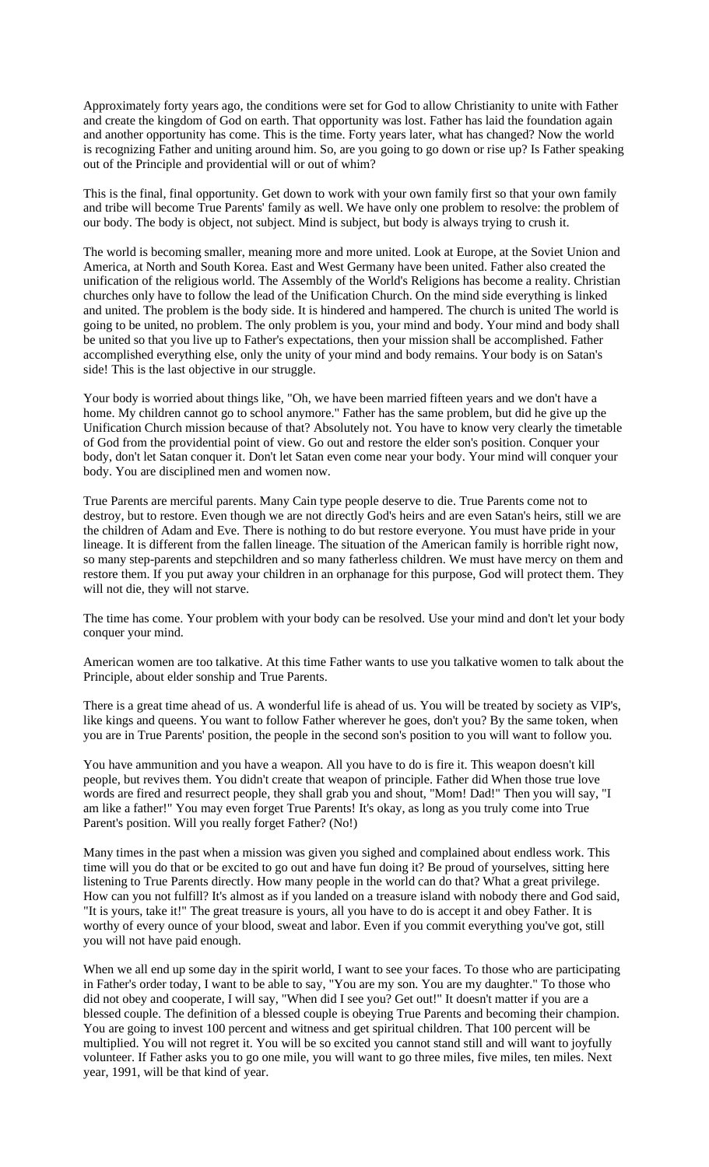Approximately forty years ago, the conditions were set for God to allow Christianity to unite with Father and create the kingdom of God on earth. That opportunity was lost. Father has laid the foundation again and another opportunity has come. This is the time. Forty years later, what has changed? Now the world is recognizing Father and uniting around him. So, are you going to go down or rise up? Is Father speaking out of the Principle and providential will or out of whim?

This is the final, final opportunity. Get down to work with your own family first so that your own family and tribe will become True Parents' family as well. We have only one problem to resolve: the problem of our body. The body is object, not subject. Mind is subject, but body is always trying to crush it.

The world is becoming smaller, meaning more and more united. Look at Europe, at the Soviet Union and America, at North and South Korea. East and West Germany have been united. Father also created the unification of the religious world. The Assembly of the World's Religions has become a reality. Christian churches only have to follow the lead of the Unification Church. On the mind side everything is linked and united. The problem is the body side. It is hindered and hampered. The church is united The world is going to be united, no problem. The only problem is you, your mind and body. Your mind and body shall be united so that you live up to Father's expectations, then your mission shall be accomplished. Father accomplished everything else, only the unity of your mind and body remains. Your body is on Satan's side! This is the last objective in our struggle.

Your body is worried about things like, "Oh, we have been married fifteen years and we don't have a home. My children cannot go to school anymore." Father has the same problem, but did he give up the Unification Church mission because of that? Absolutely not. You have to know very clearly the timetable of God from the providential point of view. Go out and restore the elder son's position. Conquer your body, don't let Satan conquer it. Don't let Satan even come near your body. Your mind will conquer your body. You are disciplined men and women now.

True Parents are merciful parents. Many Cain type people deserve to die. True Parents come not to destroy, but to restore. Even though we are not directly God's heirs and are even Satan's heirs, still we are the children of Adam and Eve. There is nothing to do but restore everyone. You must have pride in your lineage. It is different from the fallen lineage. The situation of the American family is horrible right now, so many step-parents and stepchildren and so many fatherless children. We must have mercy on them and restore them. If you put away your children in an orphanage for this purpose, God will protect them. They will not die, they will not starve.

The time has come. Your problem with your body can be resolved. Use your mind and don't let your body conquer your mind.

American women are too talkative. At this time Father wants to use you talkative women to talk about the Principle, about elder sonship and True Parents.

There is a great time ahead of us. A wonderful life is ahead of us. You will be treated by society as VIP's, like kings and queens. You want to follow Father wherever he goes, don't you? By the same token, when you are in True Parents' position, the people in the second son's position to you will want to follow you.

You have ammunition and you have a weapon. All you have to do is fire it. This weapon doesn't kill people, but revives them. You didn't create that weapon of principle. Father did When those true love words are fired and resurrect people, they shall grab you and shout, "Mom! Dad!" Then you will say, "I am like a father!" You may even forget True Parents! It's okay, as long as you truly come into True Parent's position. Will you really forget Father? (No!)

Many times in the past when a mission was given you sighed and complained about endless work. This time will you do that or be excited to go out and have fun doing it? Be proud of yourselves, sitting here listening to True Parents directly. How many people in the world can do that? What a great privilege. How can you not fulfill? It's almost as if you landed on a treasure island with nobody there and God said, "It is yours, take it!" The great treasure is yours, all you have to do is accept it and obey Father. It is worthy of every ounce of your blood, sweat and labor. Even if you commit everything you've got, still you will not have paid enough.

When we all end up some day in the spirit world, I want to see your faces. To those who are participating in Father's order today, I want to be able to say, "You are my son. You are my daughter." To those who did not obey and cooperate, I will say, "When did I see you? Get out!" It doesn't matter if you are a blessed couple. The definition of a blessed couple is obeying True Parents and becoming their champion. You are going to invest 100 percent and witness and get spiritual children. That 100 percent will be multiplied. You will not regret it. You will be so excited you cannot stand still and will want to joyfully volunteer. If Father asks you to go one mile, you will want to go three miles, five miles, ten miles. Next year, 1991, will be that kind of year.